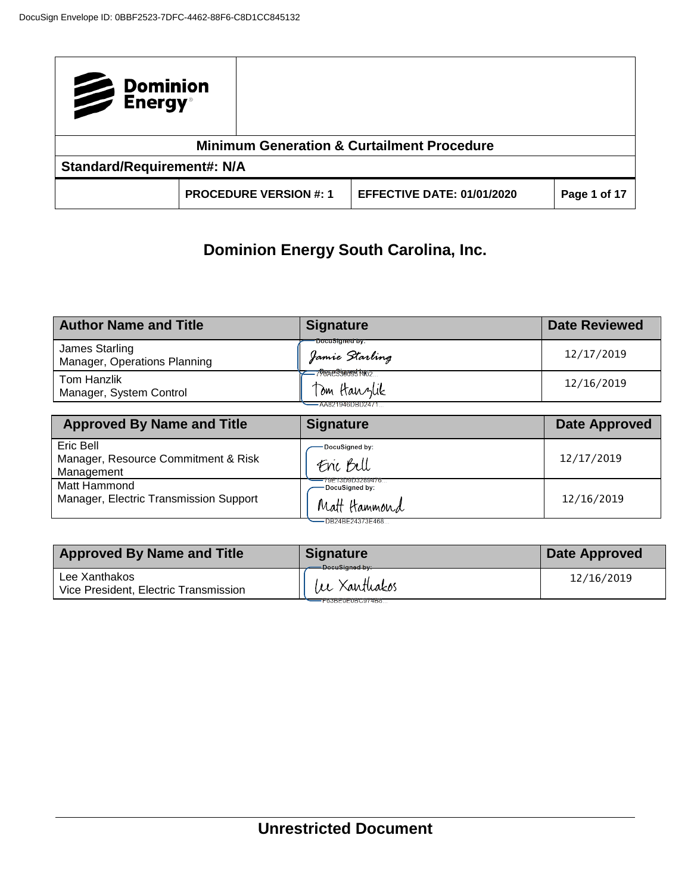| Dominion<br>Energy®               |                                                       |                                   |              |
|-----------------------------------|-------------------------------------------------------|-----------------------------------|--------------|
|                                   | <b>Minimum Generation &amp; Curtailment Procedure</b> |                                   |              |
| <b>Standard/Requirement#: N/A</b> |                                                       |                                   |              |
|                                   | <b>PROCEDURE VERSION #: 1</b>                         | <b>EFFECTIVE DATE: 01/01/2020</b> | Page 1 of 17 |

# **Dominion Energy South Carolina, Inc.**

| <b>Author Name and Title</b>                   | <b>Signature</b>                                                | <b>Date Reviewed</b> |
|------------------------------------------------|-----------------------------------------------------------------|----------------------|
| James Starling<br>Manager, Operations Planning | -DocuSigned by:<br>Jamie Starling                               | 12/17/2019           |
| Tom Hanzlik<br>Manager, System Control         | <del>_798</del> &e3900997062<br>Tom Hanzlik<br>-AA821946DBD2471 | 12/16/2019           |

| <b>Approved By Name and Title</b>                              | <b>Signature</b>                                                      | <b>Date Approved</b> |
|----------------------------------------------------------------|-----------------------------------------------------------------------|----------------------|
| Eric Bell<br>Manager, Resource Commitment & Risk<br>Management | -DocuSigned by:<br>Enc Bell                                           | 12/17/2019           |
| Matt Hammond<br>Manager, Electric Transmission Support         | 79E13D9D3289476<br>-DocuSigned by:<br>Matt Hammond<br>DB24BE24373E468 | 12/16/2019           |

| <b>Approved By Name and Title</b>                      | Signature<br>DocuSigned by:      | Date Approved |
|--------------------------------------------------------|----------------------------------|---------------|
| Lee Xanthakos<br>Vice President, Electric Transmission | lee Xanthakos<br>F63BE0E0BC974B8 | 12/16/2019    |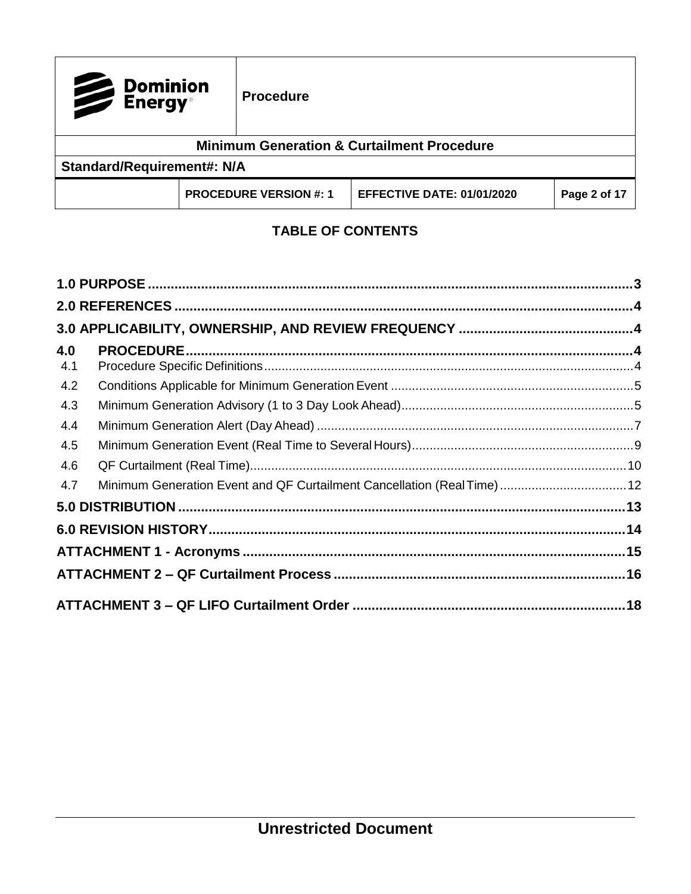| Dominion<br>Energy <sup>®</sup>   |  | <b>Procedure</b>              |                                                       |              |
|-----------------------------------|--|-------------------------------|-------------------------------------------------------|--------------|
|                                   |  |                               | <b>Minimum Generation &amp; Curtailment Procedure</b> |              |
| <b>Standard/Requirement#: N/A</b> |  |                               |                                                       |              |
|                                   |  | <b>PROCEDURE VERSION #: 1</b> | <b>EFFECTIVE DATE: 01/01/2020</b>                     | Page 2 of 17 |

## **TABLE OF CONTENTS**

| 4.0 |                                                                        |  |
|-----|------------------------------------------------------------------------|--|
| 4.1 |                                                                        |  |
| 4.2 |                                                                        |  |
| 4.3 |                                                                        |  |
| 4.4 |                                                                        |  |
| 4.5 |                                                                        |  |
| 4.6 |                                                                        |  |
| 4.7 | Minimum Generation Event and QF Curtailment Cancellation (Real Time)12 |  |
|     |                                                                        |  |
|     |                                                                        |  |
|     |                                                                        |  |
|     |                                                                        |  |
|     |                                                                        |  |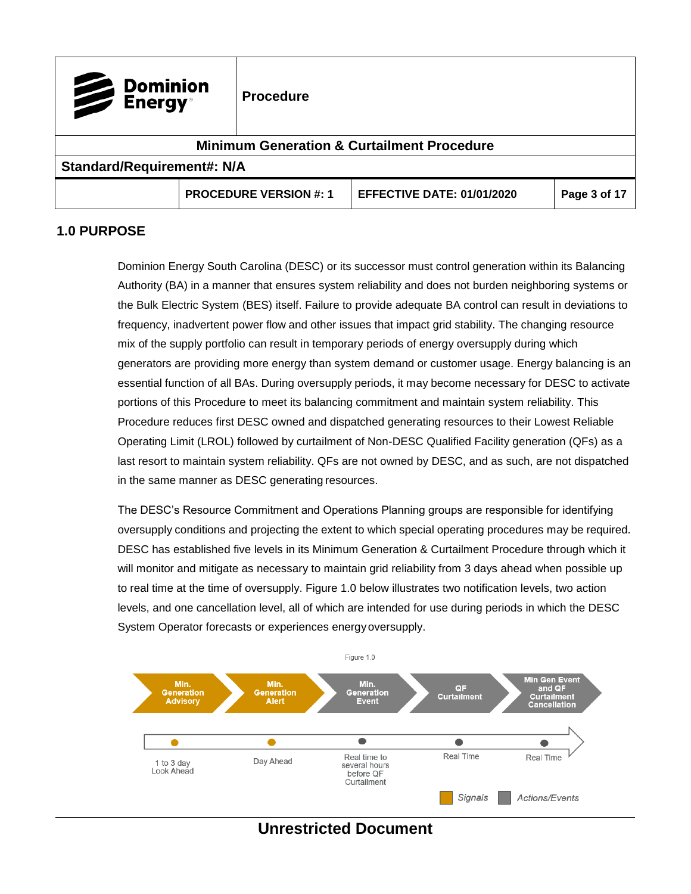| Dominion<br>Energy®               |  | <b>Procedure</b>              |                                                       |              |
|-----------------------------------|--|-------------------------------|-------------------------------------------------------|--------------|
|                                   |  |                               | <b>Minimum Generation &amp; Curtailment Procedure</b> |              |
| <b>Standard/Requirement#: N/A</b> |  |                               |                                                       |              |
|                                   |  | <b>PROCEDURE VERSION #: 1</b> | <b>EFFECTIVE DATE: 01/01/2020</b>                     | Page 3 of 17 |

## <span id="page-2-0"></span>**1.0 PURPOSE**

Dominion Energy South Carolina (DESC) or its successor must control generation within its Balancing Authority (BA) in a manner that ensures system reliability and does not burden neighboring systems or the Bulk Electric System (BES) itself. Failure to provide adequate BA control can result in deviations to frequency, inadvertent power flow and other issues that impact grid stability. The changing resource mix of the supply portfolio can result in temporary periods of energy oversupply during which generators are providing more energy than system demand or customer usage. Energy balancing is an essential function of all BAs. During oversupply periods, it may become necessary for DESC to activate portions of this Procedure to meet its balancing commitment and maintain system reliability. This Procedure reduces first DESC owned and dispatched generating resources to their Lowest Reliable Operating Limit (LROL) followed by curtailment of Non-DESC Qualified Facility generation (QFs) as a last resort to maintain system reliability. QFs are not owned by DESC, and as such, are not dispatched in the same manner as DESC generating resources.

The DESC's Resource Commitment and Operations Planning groups are responsible for identifying oversupply conditions and projecting the extent to which special operating procedures may be required. DESC has established five levels in its Minimum Generation & Curtailment Procedure through which it will monitor and mitigate as necessary to maintain grid reliability from 3 days ahead when possible up to real time at the time of oversupply. Figure 1.0 below illustrates two notification levels, two action levels, and one cancellation level, all of which are intended for use during periods in which the DESC System Operator forecasts or experiences energyoversupply.



## **Unrestricted Document**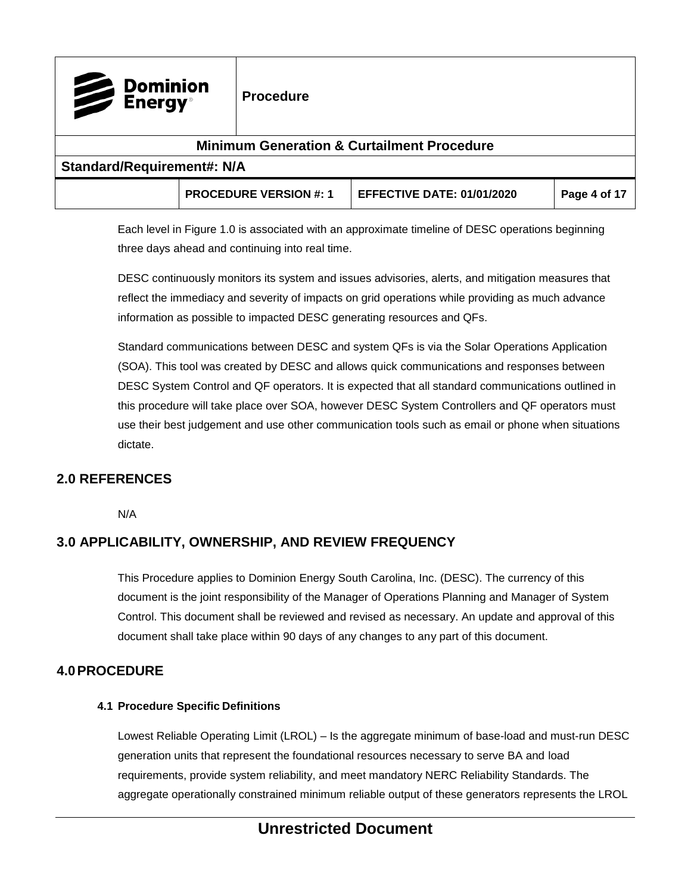| Dominion<br>Energy <sup>®</sup>   | <b>Procedure</b>              |                                                       |              |
|-----------------------------------|-------------------------------|-------------------------------------------------------|--------------|
|                                   |                               | <b>Minimum Generation &amp; Curtailment Procedure</b> |              |
| <b>Standard/Requirement#: N/A</b> |                               |                                                       |              |
|                                   | <b>PROCEDURE VERSION #: 1</b> | <b>EFFECTIVE DATE: 01/01/2020</b>                     | Page 4 of 17 |

Each level in Figure 1.0 is associated with an approximate timeline of DESC operations beginning three days ahead and continuing into real time.

DESC continuously monitors its system and issues advisories, alerts, and mitigation measures that reflect the immediacy and severity of impacts on grid operations while providing as much advance information as possible to impacted DESC generating resources and QFs.

Standard communications between DESC and system QFs is via the Solar Operations Application (SOA). This tool was created by DESC and allows quick communications and responses between DESC System Control and QF operators. It is expected that all standard communications outlined in this procedure will take place over SOA, however DESC System Controllers and QF operators must use their best judgement and use other communication tools such as email or phone when situations dictate.

## <span id="page-3-0"></span>**2.0 REFERENCES**

N/A

## <span id="page-3-1"></span>**3.0 APPLICABILITY, OWNERSHIP, AND REVIEW FREQUENCY**

This Procedure applies to Dominion Energy South Carolina, Inc. (DESC). The currency of this document is the joint responsibility of the Manager of Operations Planning and Manager of System Control. This document shall be reviewed and revised as necessary. An update and approval of this document shall take place within 90 days of any changes to any part of this document.

#### <span id="page-3-3"></span><span id="page-3-2"></span>**4.0PROCEDURE**

#### **4.1 Procedure Specific Definitions**

Lowest Reliable Operating Limit (LROL) – Is the aggregate minimum of base-load and must-run DESC generation units that represent the foundational resources necessary to serve BA and load requirements, provide system reliability, and meet mandatory NERC Reliability Standards. The aggregate operationally constrained minimum reliable output of these generators represents the LROL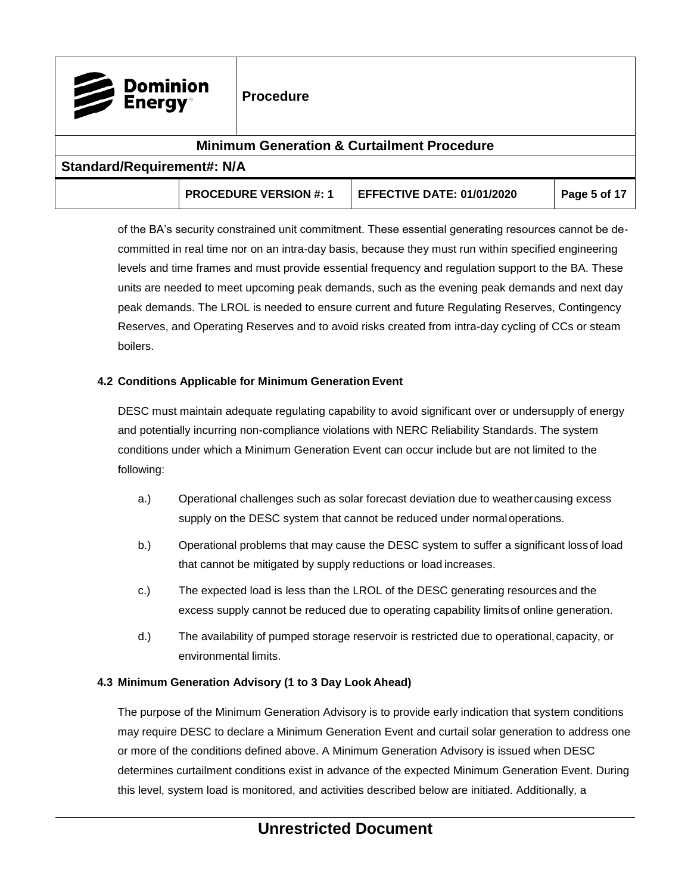| Dominion<br>Energy®               |  | <b>Procedure</b>              |                                                       |              |
|-----------------------------------|--|-------------------------------|-------------------------------------------------------|--------------|
|                                   |  |                               | <b>Minimum Generation &amp; Curtailment Procedure</b> |              |
| <b>Standard/Requirement#: N/A</b> |  |                               |                                                       |              |
|                                   |  | <b>PROCEDURE VERSION #: 1</b> | <b>EFFECTIVE DATE: 01/01/2020</b>                     | Page 5 of 17 |

of the BA's security constrained unit commitment. These essential generating resources cannot be decommitted in real time nor on an intra-day basis, because they must run within specified engineering levels and time frames and must provide essential frequency and regulation support to the BA. These units are needed to meet upcoming peak demands, such as the evening peak demands and next day peak demands. The LROL is needed to ensure current and future Regulating Reserves, Contingency Reserves, and Operating Reserves and to avoid risks created from intra-day cycling of CCs or steam boilers.

#### <span id="page-4-0"></span>**4.2 Conditions Applicable for Minimum Generation Event**

DESC must maintain adequate regulating capability to avoid significant over or undersupply of energy and potentially incurring non-compliance violations with NERC Reliability Standards. The system conditions under which a Minimum Generation Event can occur include but are not limited to the following:

- a.) Operational challenges such as solar forecast deviation due to weather causing excess supply on the DESC system that cannot be reduced under normal operations.
- b.) Operational problems that may cause the DESC system to suffer a significant lossof load that cannot be mitigated by supply reductions or load increases.
- c.) The expected load is less than the LROL of the DESC generating resources and the excess supply cannot be reduced due to operating capability limitsof online generation.
- d.) The availability of pumped storage reservoir is restricted due to operational,capacity, or environmental limits.

#### <span id="page-4-1"></span>**4.3 Minimum Generation Advisory (1 to 3 Day Look Ahead)**

The purpose of the Minimum Generation Advisory is to provide early indication that system conditions may require DESC to declare a Minimum Generation Event and curtail solar generation to address one or more of the conditions defined above. A Minimum Generation Advisory is issued when DESC determines curtailment conditions exist in advance of the expected Minimum Generation Event. During this level, system load is monitored, and activities described below are initiated. Additionally, a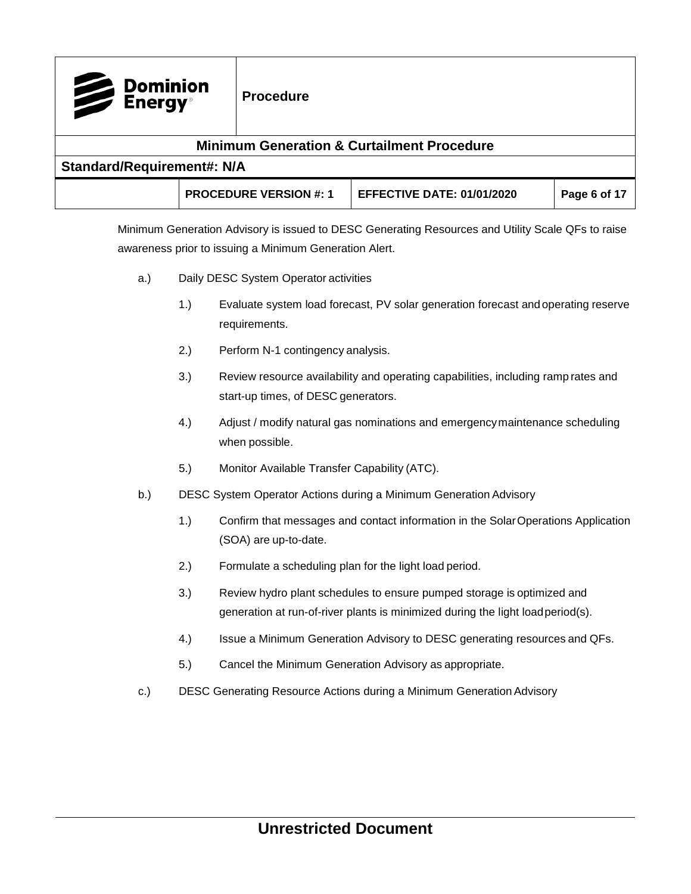| Dominion<br>Energy® | <b>Procedure</b>                  |                                                                                                   |              |  |  |
|---------------------|-----------------------------------|---------------------------------------------------------------------------------------------------|--------------|--|--|
|                     |                                   | <b>Minimum Generation &amp; Curtailment Procedure</b>                                             |              |  |  |
|                     | <b>Standard/Requirement#: N/A</b> |                                                                                                   |              |  |  |
|                     | <b>PROCEDURE VERSION #: 1</b>     | <b>EFFECTIVE DATE: 01/01/2020</b>                                                                 | Page 6 of 17 |  |  |
|                     |                                   | Minimum Generation Advisory is issued to DESC Generating Resources and Utility Scale QFs to raise |              |  |  |

awareness prior to issuing a Minimum Generation Alert.

- a.) Daily DESC System Operator activities
	- 1.) Evaluate system load forecast, PV solar generation forecast and operating reserve requirements.
	- 2.) Perform N-1 contingency analysis.
	- 3.) Review resource availability and operating capabilities, including ramp rates and start-up times, of DESC generators.
	- 4.) Adjust / modify natural gas nominations and emergencymaintenance scheduling when possible.
	- 5.) Monitor Available Transfer Capability (ATC).
- b.) DESC System Operator Actions during a Minimum Generation Advisory
	- 1.) Confirm that messages and contact information in the SolarOperations Application (SOA) are up-to-date.
	- 2.) Formulate a scheduling plan for the light load period.
	- 3.) Review hydro plant schedules to ensure pumped storage is optimized and generation at run-of-river plants is minimized during the light loadperiod(s).
	- 4.) Issue a Minimum Generation Advisory to DESC generating resources and QFs.
	- 5.) Cancel the Minimum Generation Advisory as appropriate.
- c.) DESC Generating Resource Actions during a Minimum Generation Advisory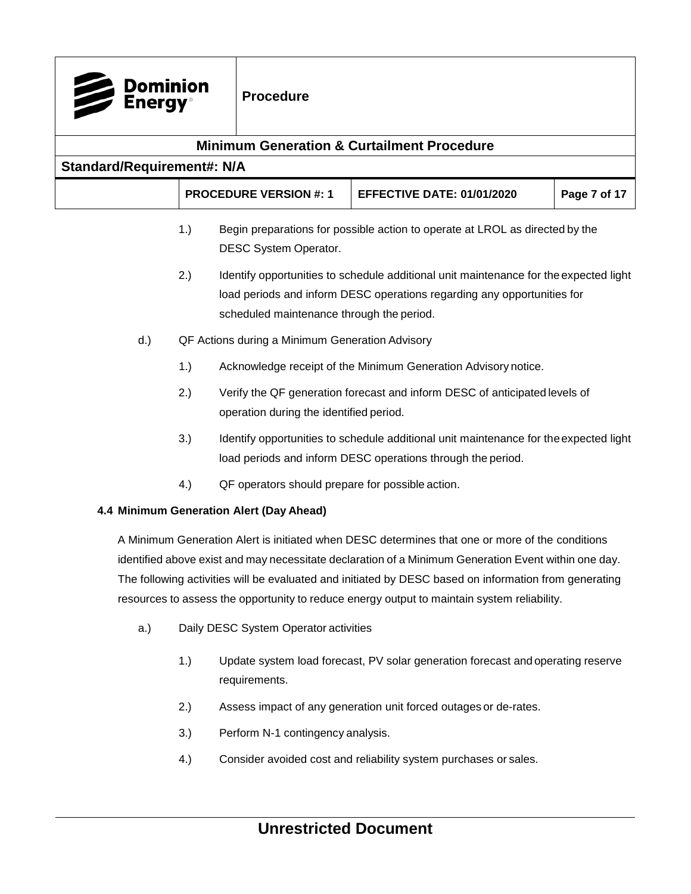| <b>Dominion</b><br>Energy®                                                                                                                                                                                                                                                                                                                                                                                      |                                                                                                                                                                                                                      | <b>Procedure</b>                                 |                                                                                                                                                      |              |
|-----------------------------------------------------------------------------------------------------------------------------------------------------------------------------------------------------------------------------------------------------------------------------------------------------------------------------------------------------------------------------------------------------------------|----------------------------------------------------------------------------------------------------------------------------------------------------------------------------------------------------------------------|--------------------------------------------------|------------------------------------------------------------------------------------------------------------------------------------------------------|--------------|
|                                                                                                                                                                                                                                                                                                                                                                                                                 |                                                                                                                                                                                                                      |                                                  | <b>Minimum Generation &amp; Curtailment Procedure</b>                                                                                                |              |
| <b>Standard/Requirement#: N/A</b>                                                                                                                                                                                                                                                                                                                                                                               |                                                                                                                                                                                                                      |                                                  |                                                                                                                                                      |              |
|                                                                                                                                                                                                                                                                                                                                                                                                                 |                                                                                                                                                                                                                      | <b>PROCEDURE VERSION #: 1</b>                    | <b>EFFECTIVE DATE: 01/01/2020</b>                                                                                                                    | Page 7 of 17 |
|                                                                                                                                                                                                                                                                                                                                                                                                                 | 1.)                                                                                                                                                                                                                  | DESC System Operator.                            | Begin preparations for possible action to operate at LROL as directed by the                                                                         |              |
|                                                                                                                                                                                                                                                                                                                                                                                                                 | 2.)<br>Identify opportunities to schedule additional unit maintenance for the expected light<br>load periods and inform DESC operations regarding any opportunities for<br>scheduled maintenance through the period. |                                                  |                                                                                                                                                      |              |
| $d.$ )                                                                                                                                                                                                                                                                                                                                                                                                          |                                                                                                                                                                                                                      | QF Actions during a Minimum Generation Advisory  |                                                                                                                                                      |              |
|                                                                                                                                                                                                                                                                                                                                                                                                                 | 1.)                                                                                                                                                                                                                  |                                                  | Acknowledge receipt of the Minimum Generation Advisory notice.                                                                                       |              |
|                                                                                                                                                                                                                                                                                                                                                                                                                 | 2.)<br>Verify the QF generation forecast and inform DESC of anticipated levels of<br>operation during the identified period.                                                                                         |                                                  |                                                                                                                                                      |              |
|                                                                                                                                                                                                                                                                                                                                                                                                                 | 3.)                                                                                                                                                                                                                  |                                                  | Identify opportunities to schedule additional unit maintenance for the expected light<br>load periods and inform DESC operations through the period. |              |
|                                                                                                                                                                                                                                                                                                                                                                                                                 | 4.)                                                                                                                                                                                                                  | QF operators should prepare for possible action. |                                                                                                                                                      |              |
|                                                                                                                                                                                                                                                                                                                                                                                                                 |                                                                                                                                                                                                                      | 4.4 Minimum Generation Alert (Day Ahead)         |                                                                                                                                                      |              |
| A Minimum Generation Alert is initiated when DESC determines that one or more of the conditions<br>identified above exist and may necessitate declaration of a Minimum Generation Event within one day.<br>The following activities will be evaluated and initiated by DESC based on information from generating<br>resources to assess the opportunity to reduce energy output to maintain system reliability. |                                                                                                                                                                                                                      |                                                  |                                                                                                                                                      |              |
| a.)                                                                                                                                                                                                                                                                                                                                                                                                             |                                                                                                                                                                                                                      | Daily DESC System Operator activities            |                                                                                                                                                      |              |
|                                                                                                                                                                                                                                                                                                                                                                                                                 | 1.)                                                                                                                                                                                                                  | requirements.                                    | Update system load forecast, PV solar generation forecast and operating reserve                                                                      |              |
|                                                                                                                                                                                                                                                                                                                                                                                                                 | 2.)                                                                                                                                                                                                                  |                                                  | Assess impact of any generation unit forced outages or de-rates.                                                                                     |              |

- <span id="page-6-0"></span>3.) Perform N-1 contingency analysis.
- 4.) Consider avoided cost and reliability system purchases or sales.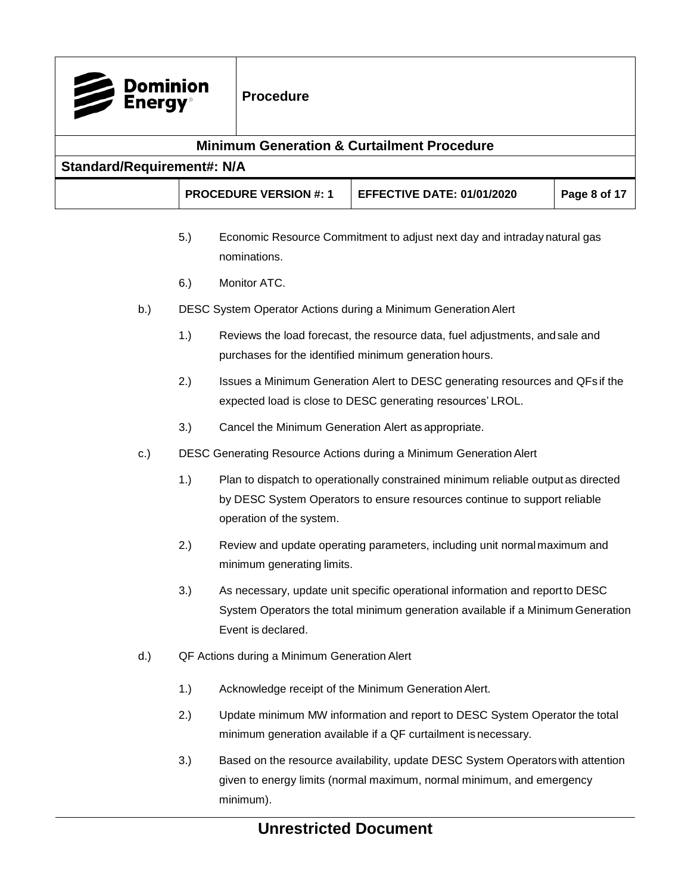|                                   | <b>Dominion</b><br>Energy® |     | <b>Procedure</b>                                                                                                                                                                           |                                                                                                                                                          |              |  |  |
|-----------------------------------|----------------------------|-----|--------------------------------------------------------------------------------------------------------------------------------------------------------------------------------------------|----------------------------------------------------------------------------------------------------------------------------------------------------------|--------------|--|--|
|                                   |                            |     |                                                                                                                                                                                            | <b>Minimum Generation &amp; Curtailment Procedure</b>                                                                                                    |              |  |  |
| <b>Standard/Requirement#: N/A</b> |                            |     |                                                                                                                                                                                            |                                                                                                                                                          |              |  |  |
|                                   |                            |     | <b>PROCEDURE VERSION #: 1</b>                                                                                                                                                              | <b>EFFECTIVE DATE: 01/01/2020</b>                                                                                                                        | Page 8 of 17 |  |  |
|                                   |                            | 5.) | nominations.                                                                                                                                                                               | Economic Resource Commitment to adjust next day and intraday natural gas                                                                                 |              |  |  |
|                                   |                            | 6.) | Monitor ATC.                                                                                                                                                                               |                                                                                                                                                          |              |  |  |
|                                   | b.)                        |     |                                                                                                                                                                                            | DESC System Operator Actions during a Minimum Generation Alert                                                                                           |              |  |  |
|                                   |                            | 1.) |                                                                                                                                                                                            | Reviews the load forecast, the resource data, fuel adjustments, and sale and<br>purchases for the identified minimum generation hours.                   |              |  |  |
|                                   |                            | 2.) | Issues a Minimum Generation Alert to DESC generating resources and QFs if the<br>expected load is close to DESC generating resources' LROL.                                                |                                                                                                                                                          |              |  |  |
|                                   |                            | 3.) |                                                                                                                                                                                            | Cancel the Minimum Generation Alert as appropriate.                                                                                                      |              |  |  |
|                                   | c.)                        |     |                                                                                                                                                                                            | DESC Generating Resource Actions during a Minimum Generation Alert                                                                                       |              |  |  |
|                                   |                            | 1.) | Plan to dispatch to operationally constrained minimum reliable output as directed<br>by DESC System Operators to ensure resources continue to support reliable<br>operation of the system. |                                                                                                                                                          |              |  |  |
|                                   |                            | 2.) | Review and update operating parameters, including unit normal maximum and<br>minimum generating limits.                                                                                    |                                                                                                                                                          |              |  |  |
|                                   |                            | 3.) | As necessary, update unit specific operational information and report to DESC<br>System Operators the total minimum generation available if a Minimum Generation<br>Event is declared.     |                                                                                                                                                          |              |  |  |
|                                   | $d.$ )                     |     | QF Actions during a Minimum Generation Alert                                                                                                                                               |                                                                                                                                                          |              |  |  |
|                                   |                            | 1.) | Acknowledge receipt of the Minimum Generation Alert.                                                                                                                                       |                                                                                                                                                          |              |  |  |
|                                   |                            | 2.) | Update minimum MW information and report to DESC System Operator the total<br>minimum generation available if a QF curtailment is necessary.                                               |                                                                                                                                                          |              |  |  |
|                                   |                            | 3.) | minimum).                                                                                                                                                                                  | Based on the resource availability, update DESC System Operators with attention<br>given to energy limits (normal maximum, normal minimum, and emergency |              |  |  |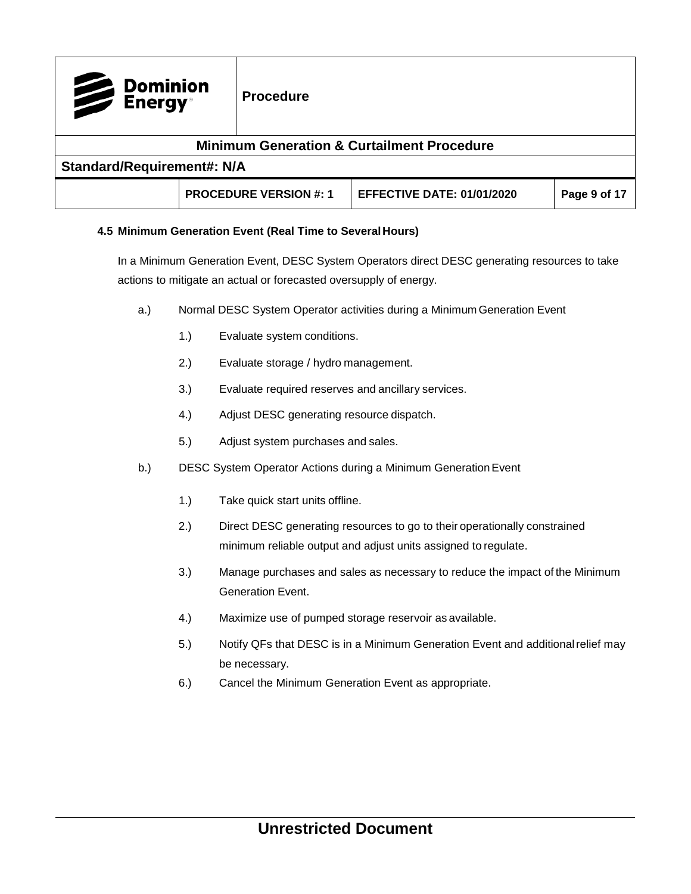| Dominion<br>Energy <sup>®</sup> |                                   | <b>Procedure</b>              |                                                       |              |  |
|---------------------------------|-----------------------------------|-------------------------------|-------------------------------------------------------|--------------|--|
|                                 |                                   |                               | <b>Minimum Generation &amp; Curtailment Procedure</b> |              |  |
|                                 | <b>Standard/Requirement#: N/A</b> |                               |                                                       |              |  |
|                                 |                                   | <b>PROCEDURE VERSION #: 1</b> | <b>EFFECTIVE DATE: 01/01/2020</b>                     | Page 9 of 17 |  |

#### <span id="page-8-0"></span>**4.5 Minimum Generation Event (Real Time to SeveralHours)**

In a Minimum Generation Event, DESC System Operators direct DESC generating resources to take actions to mitigate an actual or forecasted oversupply of energy.

- a.) Normal DESC System Operator activities during a Minimum Generation Event
	- 1.) Evaluate system conditions.
	- 2.) Evaluate storage / hydro management.
	- 3.) Evaluate required reserves and ancillary services.
	- 4.) Adjust DESC generating resource dispatch.
	- 5.) Adjust system purchases and sales.
- b.) DESC System Operator Actions during a Minimum Generation Event
	- 1.) Take quick start units offline.
	- 2.) Direct DESC generating resources to go to their operationally constrained minimum reliable output and adjust units assigned to regulate.
	- 3.) Manage purchases and sales as necessary to reduce the impact of the Minimum Generation Event.
	- 4.) Maximize use of pumped storage reservoir as available.
	- 5.) Notify QFs that DESC is in a Minimum Generation Event and additionalrelief may be necessary.
	- 6.) Cancel the Minimum Generation Event as appropriate.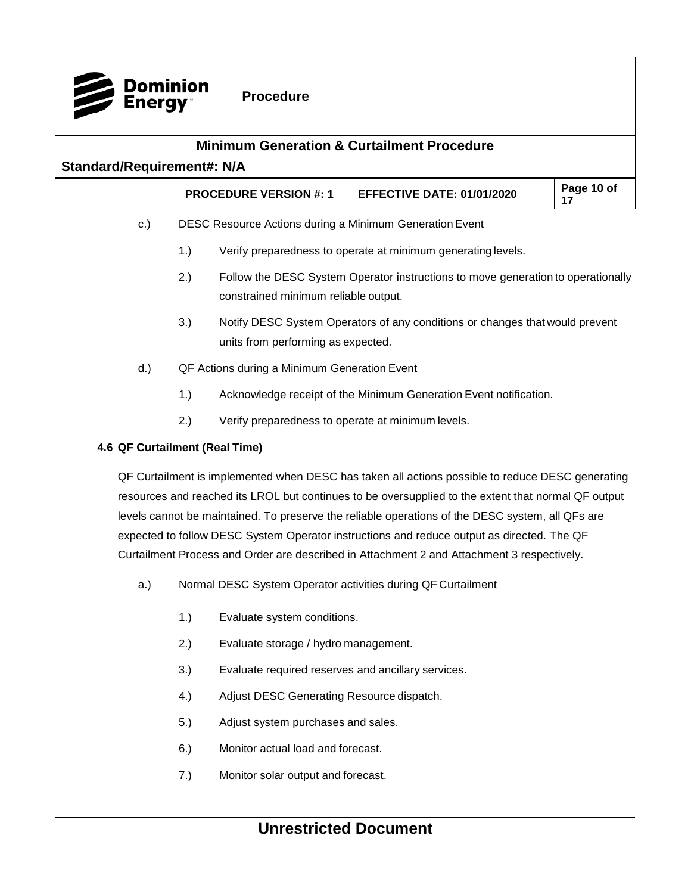| <b>Dominion</b><br><b>Energy</b>                      |                                                           | <b>Procedure</b>                             |                                                                                                                                                                                                         |                  |  |  |  |
|-------------------------------------------------------|-----------------------------------------------------------|----------------------------------------------|---------------------------------------------------------------------------------------------------------------------------------------------------------------------------------------------------------|------------------|--|--|--|
| <b>Minimum Generation &amp; Curtailment Procedure</b> |                                                           |                                              |                                                                                                                                                                                                         |                  |  |  |  |
| <b>Standard/Requirement#: N/A</b>                     |                                                           |                                              |                                                                                                                                                                                                         |                  |  |  |  |
|                                                       |                                                           | <b>PROCEDURE VERSION #: 1</b>                | <b>EFFECTIVE DATE: 01/01/2020</b>                                                                                                                                                                       | Page 10 of<br>17 |  |  |  |
| c.)                                                   |                                                           |                                              | DESC Resource Actions during a Minimum Generation Event                                                                                                                                                 |                  |  |  |  |
|                                                       | 1.)                                                       |                                              | Verify preparedness to operate at minimum generating levels.                                                                                                                                            |                  |  |  |  |
|                                                       | 2.)                                                       | constrained minimum reliable output.         | Follow the DESC System Operator instructions to move generation to operationally                                                                                                                        |                  |  |  |  |
|                                                       | 3.)                                                       | units from performing as expected.           | Notify DESC System Operators of any conditions or changes that would prevent                                                                                                                            |                  |  |  |  |
| $d.$ )                                                |                                                           | QF Actions during a Minimum Generation Event |                                                                                                                                                                                                         |                  |  |  |  |
|                                                       | 1.)                                                       |                                              | Acknowledge receipt of the Minimum Generation Event notification.                                                                                                                                       |                  |  |  |  |
|                                                       | 2.)<br>Verify preparedness to operate at minimum levels.  |                                              |                                                                                                                                                                                                         |                  |  |  |  |
| 4.6 QF Curtailment (Real Time)                        |                                                           |                                              |                                                                                                                                                                                                         |                  |  |  |  |
|                                                       |                                                           |                                              | QF Curtailment is implemented when DESC has taken all actions possible to reduce DESC generating<br>resources and reached its LROL but continues to be oversupplied to the extent that normal QF output |                  |  |  |  |
|                                                       |                                                           |                                              | levels cannot be maintained. To preserve the reliable operations of the DESC system, all QFs are                                                                                                        |                  |  |  |  |
|                                                       |                                                           |                                              | expected to follow DESC System Operator instructions and reduce output as directed. The QF                                                                                                              |                  |  |  |  |
|                                                       |                                                           |                                              | Curtailment Process and Order are described in Attachment 2 and Attachment 3 respectively.                                                                                                              |                  |  |  |  |
| a.)                                                   |                                                           |                                              | Normal DESC System Operator activities during QF Curtailment                                                                                                                                            |                  |  |  |  |
|                                                       | 1.)                                                       | Evaluate system conditions.                  |                                                                                                                                                                                                         |                  |  |  |  |
|                                                       | 2.)                                                       | Evaluate storage / hydro management.         |                                                                                                                                                                                                         |                  |  |  |  |
|                                                       | 3.)<br>Evaluate required reserves and ancillary services. |                                              |                                                                                                                                                                                                         |                  |  |  |  |

- <span id="page-9-0"></span>
- 4.) Adjust DESC Generating Resource dispatch.
- 5.) Adjust system purchases and sales.
- 6.) Monitor actual load and forecast.
- 7.) Monitor solar output and forecast.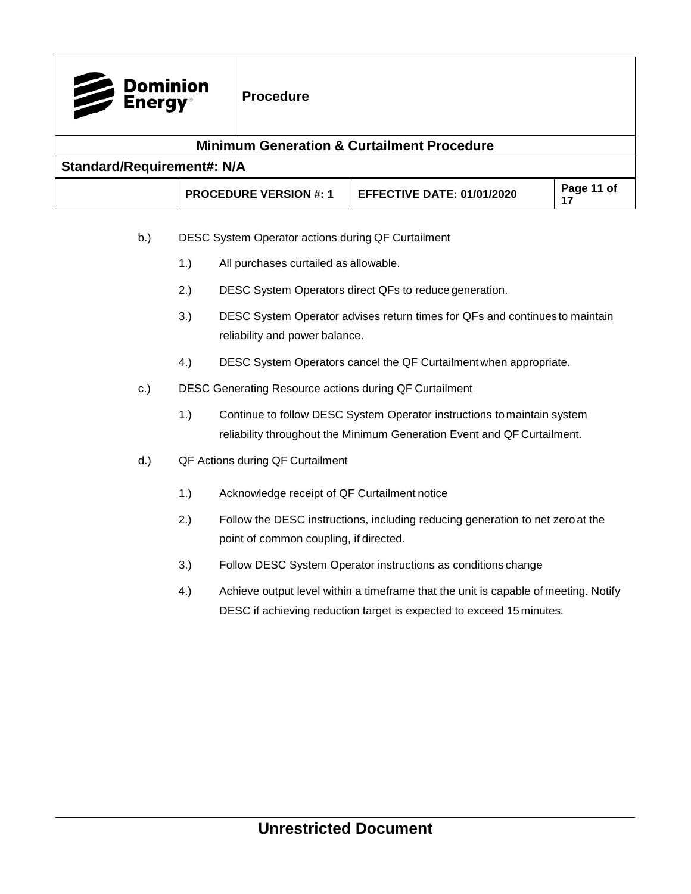| <b>Minimum Generation &amp; Curtailment Procedure</b><br><b>Standard/Requirement#: N/A</b> |                                                                                                                                                                    |                                                    |                                                                                                                                                    |                  |  |  |  |
|--------------------------------------------------------------------------------------------|--------------------------------------------------------------------------------------------------------------------------------------------------------------------|----------------------------------------------------|----------------------------------------------------------------------------------------------------------------------------------------------------|------------------|--|--|--|
|                                                                                            |                                                                                                                                                                    | <b>PROCEDURE VERSION #: 1</b>                      | <b>EFFECTIVE DATE: 01/01/2020</b>                                                                                                                  | Page 11 of<br>17 |  |  |  |
| b.)                                                                                        |                                                                                                                                                                    | DESC System Operator actions during QF Curtailment |                                                                                                                                                    |                  |  |  |  |
|                                                                                            | 1.)                                                                                                                                                                | All purchases curtailed as allowable.              |                                                                                                                                                    |                  |  |  |  |
|                                                                                            | 2.)                                                                                                                                                                |                                                    | DESC System Operators direct QFs to reduce generation.                                                                                             |                  |  |  |  |
|                                                                                            | 3.)                                                                                                                                                                | reliability and power balance.                     | DESC System Operator advises return times for QFs and continues to maintain                                                                        |                  |  |  |  |
|                                                                                            | 4.)                                                                                                                                                                |                                                    | DESC System Operators cancel the QF Curtailment when appropriate.                                                                                  |                  |  |  |  |
| c.)                                                                                        |                                                                                                                                                                    |                                                    | DESC Generating Resource actions during QF Curtailment                                                                                             |                  |  |  |  |
|                                                                                            | 1.)                                                                                                                                                                |                                                    | Continue to follow DESC System Operator instructions to maintain system<br>reliability throughout the Minimum Generation Event and QF Curtailment. |                  |  |  |  |
| d.)                                                                                        |                                                                                                                                                                    | QF Actions during QF Curtailment                   |                                                                                                                                                    |                  |  |  |  |
|                                                                                            | 1.)                                                                                                                                                                | Acknowledge receipt of QF Curtailment notice       |                                                                                                                                                    |                  |  |  |  |
|                                                                                            | 2.)<br>Follow the DESC instructions, including reducing generation to net zero at the<br>point of common coupling, if directed.                                    |                                                    |                                                                                                                                                    |                  |  |  |  |
|                                                                                            | 3.)                                                                                                                                                                |                                                    | Follow DESC System Operator instructions as conditions change                                                                                      |                  |  |  |  |
|                                                                                            | 4.)<br>Achieve output level within a timeframe that the unit is capable of meeting. Notify<br>DESC if achieving reduction target is expected to exceed 15 minutes. |                                                    |                                                                                                                                                    |                  |  |  |  |
|                                                                                            |                                                                                                                                                                    |                                                    |                                                                                                                                                    |                  |  |  |  |
|                                                                                            |                                                                                                                                                                    |                                                    |                                                                                                                                                    |                  |  |  |  |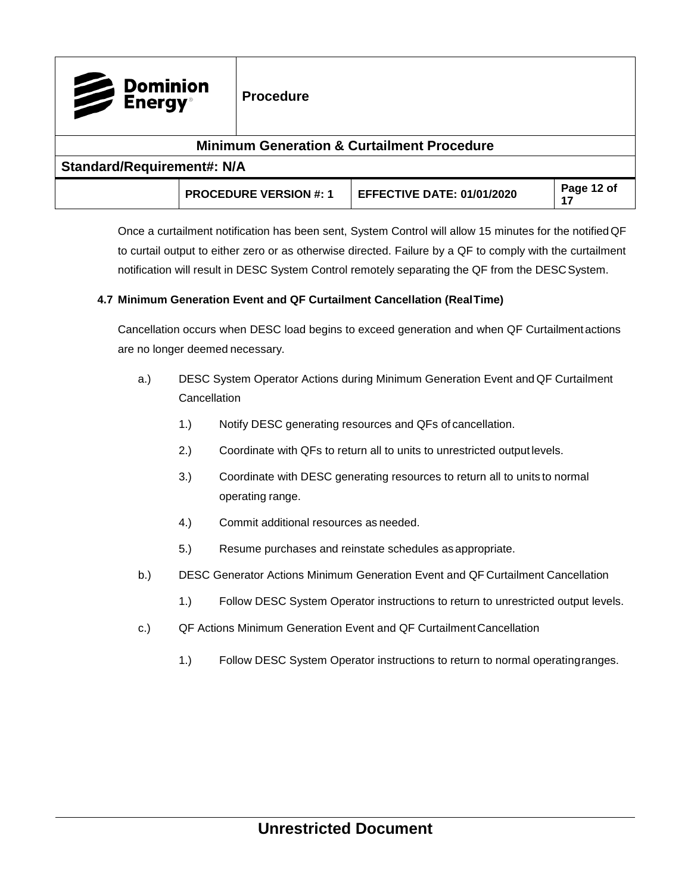| Dominion<br>Energy®                                   |  | <b>Procedure</b>              |                                   |                  |  |  |  |
|-------------------------------------------------------|--|-------------------------------|-----------------------------------|------------------|--|--|--|
| <b>Minimum Generation &amp; Curtailment Procedure</b> |  |                               |                                   |                  |  |  |  |
| <b>Standard/Requirement#: N/A</b>                     |  |                               |                                   |                  |  |  |  |
|                                                       |  | <b>PROCEDURE VERSION #: 1</b> | <b>EFFECTIVE DATE: 01/01/2020</b> | Page 12 of<br>17 |  |  |  |

Once a curtailment notification has been sent, System Control will allow 15 minutes for the notifiedQF to curtail output to either zero or as otherwise directed. Failure by a QF to comply with the curtailment notification will result in DESC System Control remotely separating the QF from the DESC System.

#### <span id="page-11-0"></span>**4.7 Minimum Generation Event and QF Curtailment Cancellation (RealTime)**

Cancellation occurs when DESC load begins to exceed generation and when QF Curtailmentactions are no longer deemed necessary.

- a.) DESC System Operator Actions during Minimum Generation Event and QF Curtailment **Cancellation** 
	- 1.) Notify DESC generating resources and QFs of cancellation.
	- 2.) Coordinate with QFs to return all to units to unrestricted output levels.
	- 3.) Coordinate with DESC generating resources to return all to units to normal operating range.
	- 4.) Commit additional resources as needed.
	- 5.) Resume purchases and reinstate schedules as appropriate.
- b.) DESC Generator Actions Minimum Generation Event and QF Curtailment Cancellation
	- 1.) Follow DESC System Operator instructions to return to unrestricted output levels.
- c.) QF Actions Minimum Generation Event and QF Curtailment Cancellation
	- 1.) Follow DESC System Operator instructions to return to normal operatingranges.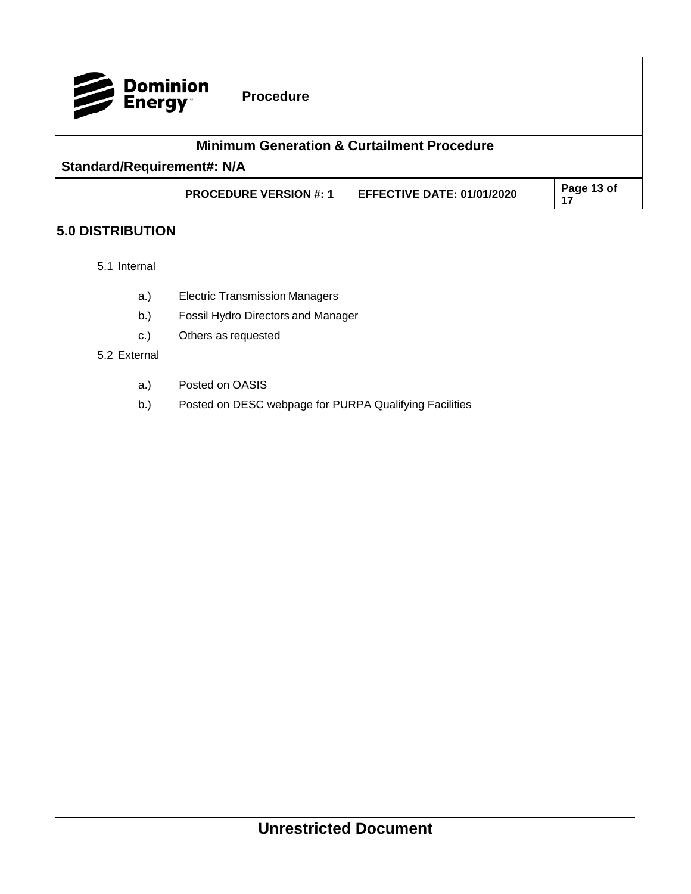| Dominion<br>Energy® |                                   | <b>Procedure</b>              |                                                       |                  |  |  |  |
|---------------------|-----------------------------------|-------------------------------|-------------------------------------------------------|------------------|--|--|--|
|                     |                                   |                               | <b>Minimum Generation &amp; Curtailment Procedure</b> |                  |  |  |  |
|                     | <b>Standard/Requirement#: N/A</b> |                               |                                                       |                  |  |  |  |
|                     |                                   | <b>PROCEDURE VERSION #: 1</b> | <b>EFFECTIVE DATE: 01/01/2020</b>                     | Page 13 of<br>17 |  |  |  |

## <span id="page-12-0"></span>**5.0 DISTRIBUTION**

- 5.1 Internal
	- a.) Electric Transmission Managers
	- b.) Fossil Hydro Directors and Manager
	- c.) Others as requested

#### 5.2 External

- a.) Posted on OASIS
- b.) Posted on DESC webpage for PURPA Qualifying Facilities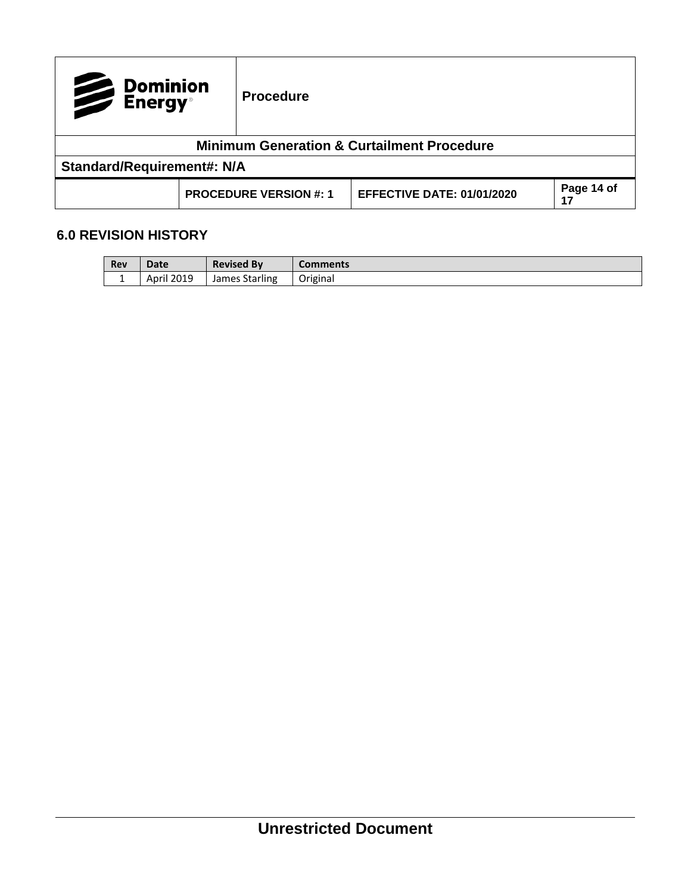| Dominion<br>Energy® |                                   | <b>Procedure</b>              |                                                       |                  |  |  |
|---------------------|-----------------------------------|-------------------------------|-------------------------------------------------------|------------------|--|--|
|                     |                                   |                               | <b>Minimum Generation &amp; Curtailment Procedure</b> |                  |  |  |
|                     | <b>Standard/Requirement#: N/A</b> |                               |                                                       |                  |  |  |
|                     |                                   | <b>PROCEDURE VERSION #: 1</b> | <b>EFFECTIVE DATE: 01/01/2020</b>                     | Page 14 of<br>17 |  |  |

## <span id="page-13-0"></span>**6.0 REVISION HISTORY**

| Rev | Date          | <b>Revised By</b> | Comments |
|-----|---------------|-------------------|----------|
| . . | 2019<br>April | James Starling    | Original |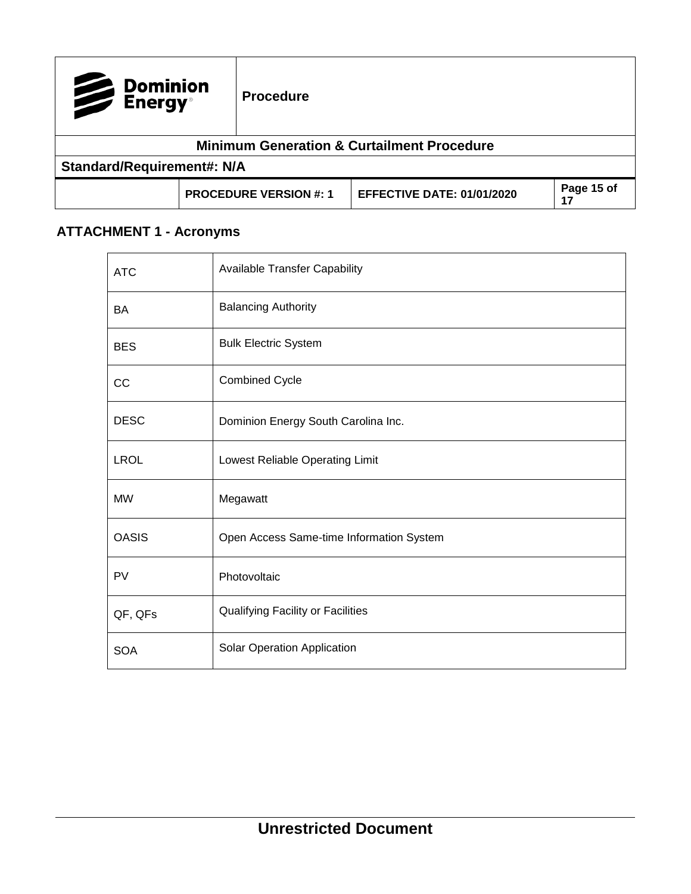| Dominion<br>Energy®               |  | <b>Procedure</b>              |                                                       |                  |
|-----------------------------------|--|-------------------------------|-------------------------------------------------------|------------------|
|                                   |  |                               | <b>Minimum Generation &amp; Curtailment Procedure</b> |                  |
| <b>Standard/Requirement#: N/A</b> |  |                               |                                                       |                  |
|                                   |  | <b>PROCEDURE VERSION #: 1</b> | <b>EFFECTIVE DATE: 01/01/2020</b>                     | Page 15 of<br>17 |

# <span id="page-14-0"></span>**ATTACHMENT 1 - Acronyms**

| <b>ATC</b>   | <b>Available Transfer Capability</b>     |
|--------------|------------------------------------------|
| BA           | <b>Balancing Authority</b>               |
| <b>BES</b>   | <b>Bulk Electric System</b>              |
| CC           | <b>Combined Cycle</b>                    |
| <b>DESC</b>  | Dominion Energy South Carolina Inc.      |
| <b>LROL</b>  | Lowest Reliable Operating Limit          |
| <b>MW</b>    | Megawatt                                 |
| <b>OASIS</b> | Open Access Same-time Information System |
| PV           | Photovoltaic                             |
| QF, QFs      | <b>Qualifying Facility or Facilities</b> |
| <b>SOA</b>   | Solar Operation Application              |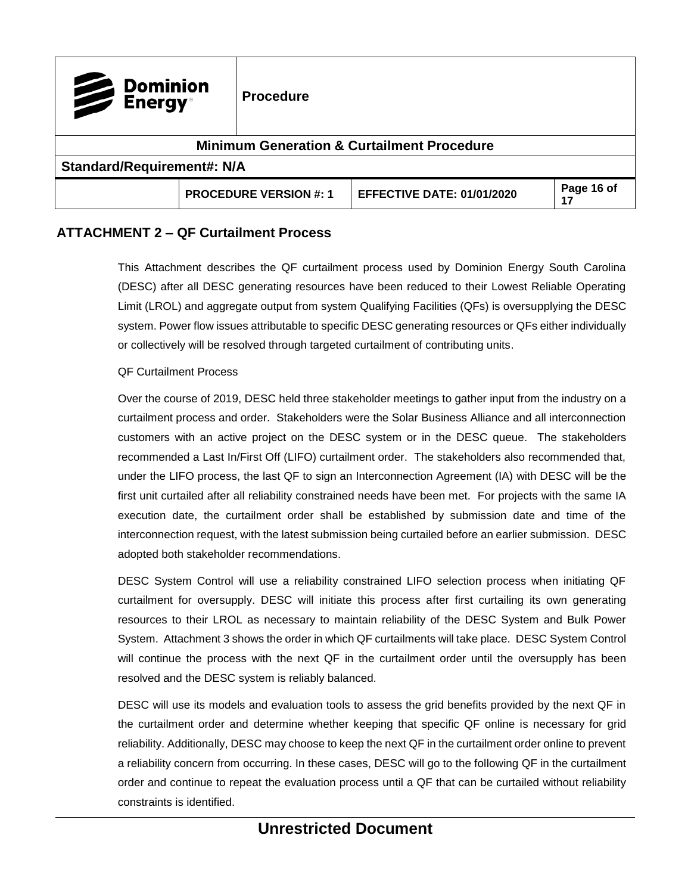| Dominion<br>Energy®                                   |  | <b>Procedure</b>              |                                   |                  |  |  |  |
|-------------------------------------------------------|--|-------------------------------|-----------------------------------|------------------|--|--|--|
| <b>Minimum Generation &amp; Curtailment Procedure</b> |  |                               |                                   |                  |  |  |  |
| <b>Standard/Requirement#: N/A</b>                     |  |                               |                                   |                  |  |  |  |
|                                                       |  | <b>PROCEDURE VERSION #: 1</b> | <b>EFFECTIVE DATE: 01/01/2020</b> | Page 16 of<br>17 |  |  |  |

## <span id="page-15-0"></span>**ATTACHMENT 2 – QF Curtailment Process**

This Attachment describes the QF curtailment process used by Dominion Energy South Carolina (DESC) after all DESC generating resources have been reduced to their Lowest Reliable Operating Limit (LROL) and aggregate output from system Qualifying Facilities (QFs) is oversupplying the DESC system. Power flow issues attributable to specific DESC generating resources or QFs either individually or collectively will be resolved through targeted curtailment of contributing units.

#### QF Curtailment Process

Over the course of 2019, DESC held three stakeholder meetings to gather input from the industry on a curtailment process and order. Stakeholders were the Solar Business Alliance and all interconnection customers with an active project on the DESC system or in the DESC queue. The stakeholders recommended a Last In/First Off (LIFO) curtailment order. The stakeholders also recommended that, under the LIFO process, the last QF to sign an Interconnection Agreement (IA) with DESC will be the first unit curtailed after all reliability constrained needs have been met. For projects with the same IA execution date, the curtailment order shall be established by submission date and time of the interconnection request, with the latest submission being curtailed before an earlier submission. DESC adopted both stakeholder recommendations.

DESC System Control will use a reliability constrained LIFO selection process when initiating QF curtailment for oversupply. DESC will initiate this process after first curtailing its own generating resources to their LROL as necessary to maintain reliability of the DESC System and Bulk Power System. Attachment 3 shows the order in which QF curtailments will take place. DESC System Control will continue the process with the next QF in the curtailment order until the oversupply has been resolved and the DESC system is reliably balanced.

DESC will use its models and evaluation tools to assess the grid benefits provided by the next QF in the curtailment order and determine whether keeping that specific QF online is necessary for grid reliability. Additionally, DESC may choose to keep the next QF in the curtailment order online to prevent a reliability concern from occurring. In these cases, DESC will go to the following QF in the curtailment order and continue to repeat the evaluation process until a QF that can be curtailed without reliability constraints is identified.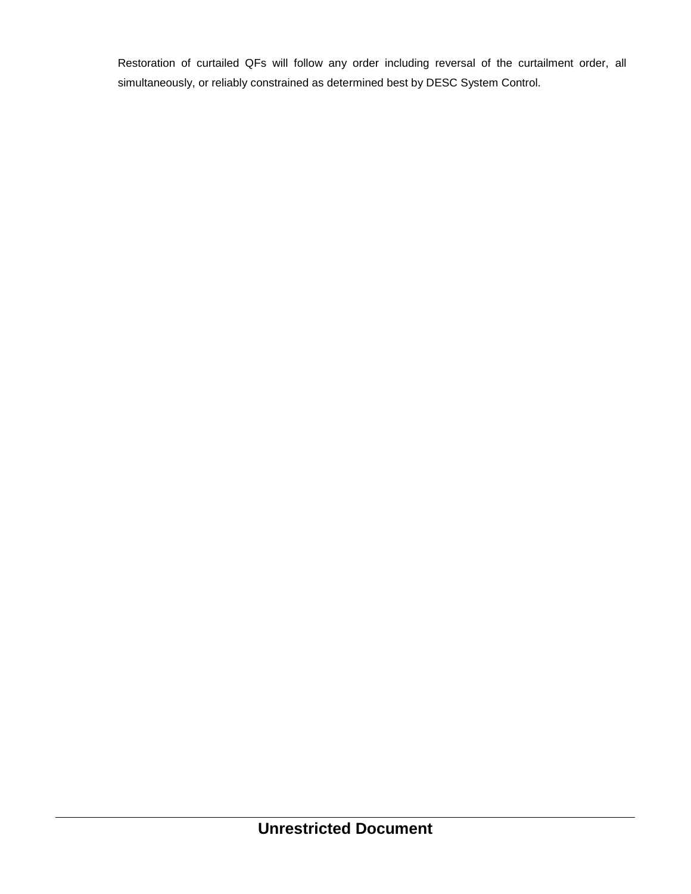Restoration of curtailed QFs will follow any order including reversal of the curtailment order, all simultaneously, or reliably constrained as determined best by DESC System Control.